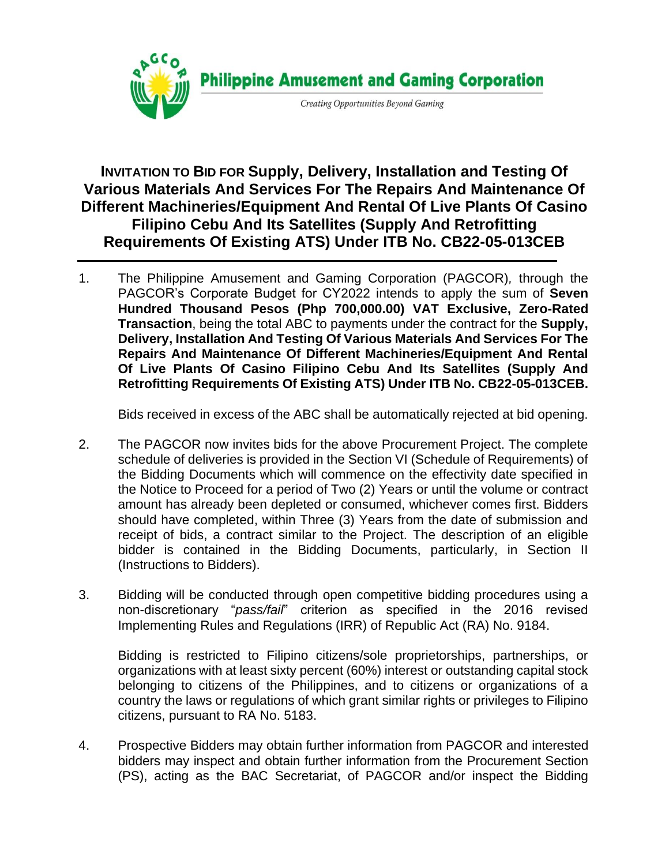

**INVITATION TO BID FOR Supply, Delivery, Installation and Testing Of Various Materials And Services For The Repairs And Maintenance Of Different Machineries/Equipment And Rental Of Live Plants Of Casino Filipino Cebu And Its Satellites (Supply And Retrofitting Requirements Of Existing ATS) Under ITB No. CB22-05-013CEB**

1. The Philippine Amusement and Gaming Corporation (PAGCOR)*,* through the PAGCOR's Corporate Budget for CY2022 intends to apply the sum of **Seven Hundred Thousand Pesos (Php 700,000.00) VAT Exclusive, Zero-Rated Transaction**, being the total ABC to payments under the contract for the **Supply, Delivery, Installation And Testing Of Various Materials And Services For The Repairs And Maintenance Of Different Machineries/Equipment And Rental Of Live Plants Of Casino Filipino Cebu And Its Satellites (Supply And Retrofitting Requirements Of Existing ATS) Under ITB No. CB22-05-013CEB.**

Bids received in excess of the ABC shall be automatically rejected at bid opening.

- 2. The PAGCOR now invites bids for the above Procurement Project. The complete schedule of deliveries is provided in the Section VI (Schedule of Requirements) of the Bidding Documents which will commence on the effectivity date specified in the Notice to Proceed for a period of Two (2) Years or until the volume or contract amount has already been depleted or consumed, whichever comes first. Bidders should have completed, within Three (3) Years from the date of submission and receipt of bids, a contract similar to the Project. The description of an eligible bidder is contained in the Bidding Documents, particularly, in Section II (Instructions to Bidders).
- 3. Bidding will be conducted through open competitive bidding procedures using a non-discretionary "*pass/fail*" criterion as specified in the 2016 revised Implementing Rules and Regulations (IRR) of Republic Act (RA) No. 9184.

Bidding is restricted to Filipino citizens/sole proprietorships, partnerships, or organizations with at least sixty percent (60%) interest or outstanding capital stock belonging to citizens of the Philippines, and to citizens or organizations of a country the laws or regulations of which grant similar rights or privileges to Filipino citizens, pursuant to RA No. 5183.

4. Prospective Bidders may obtain further information from PAGCOR and interested bidders may inspect and obtain further information from the Procurement Section (PS), acting as the BAC Secretariat, of PAGCOR and/or inspect the Bidding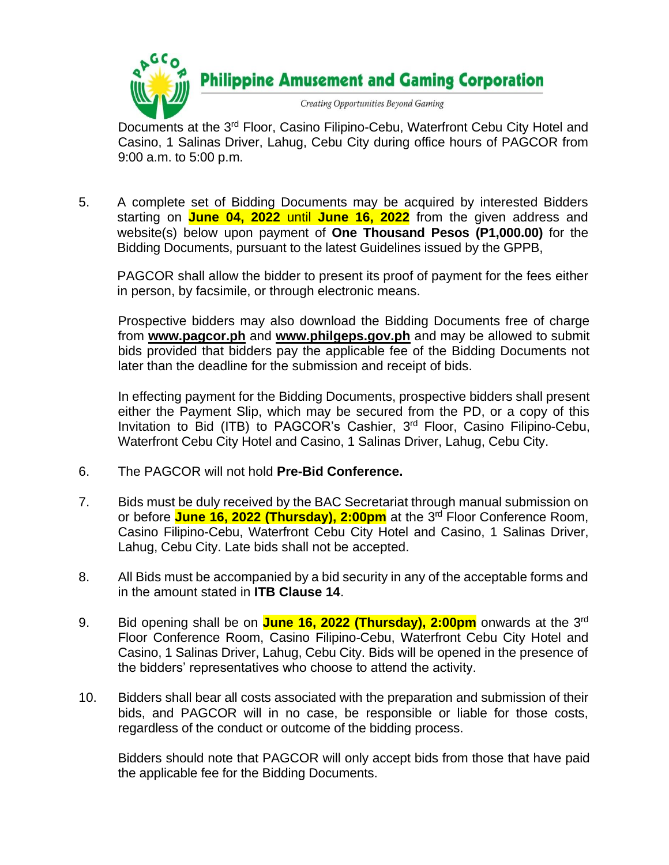

Documents at the 3<sup>rd</sup> Floor, Casino Filipino-Cebu, Waterfront Cebu City Hotel and Casino, 1 Salinas Driver, Lahug, Cebu City during office hours of PAGCOR from 9:00 a.m. to 5:00 p.m.

5. A complete set of Bidding Documents may be acquired by interested Bidders starting on **June 04, 2022** until **June 16, 2022** from the given address and website(s) below upon payment of **One Thousand Pesos (P1,000.00)** for the Bidding Documents, pursuant to the latest Guidelines issued by the GPPB,

PAGCOR shall allow the bidder to present its proof of payment for the fees either in person, by facsimile, or through electronic means.

Prospective bidders may also download the Bidding Documents free of charge from **[www.pagcor.ph](http://www.pagcor.ph/)** and **www.philgeps.gov.ph** and may be allowed to submit bids provided that bidders pay the applicable fee of the Bidding Documents not later than the deadline for the submission and receipt of bids.

In effecting payment for the Bidding Documents, prospective bidders shall present either the Payment Slip, which may be secured from the PD, or a copy of this Invitation to Bid (ITB) to PAGCOR's Cashier, 3<sup>rd</sup> Floor, Casino Filipino-Cebu, Waterfront Cebu City Hotel and Casino, 1 Salinas Driver, Lahug, Cebu City.

- 6. The PAGCOR will not hold **Pre-Bid Conference.**
- 7. Bids must be duly received by the BAC Secretariat through manual submission on or before **June 16, 2022 (Thursday), 2:00pm** at the 3 rd Floor Conference Room, Casino Filipino-Cebu, Waterfront Cebu City Hotel and Casino, 1 Salinas Driver, Lahug, Cebu City. Late bids shall not be accepted.
- 8. All Bids must be accompanied by a bid security in any of the acceptable forms and in the amount stated in **ITB Clause 14**.
- 9. Bid opening shall be on <mark>June 16, 2022 (Thursday), 2:00pm</mark> onwards at the 3<sup>rd</sup> Floor Conference Room, Casino Filipino-Cebu, Waterfront Cebu City Hotel and Casino, 1 Salinas Driver, Lahug, Cebu City. Bids will be opened in the presence of the bidders' representatives who choose to attend the activity.
- 10. Bidders shall bear all costs associated with the preparation and submission of their bids, and PAGCOR will in no case, be responsible or liable for those costs, regardless of the conduct or outcome of the bidding process.

Bidders should note that PAGCOR will only accept bids from those that have paid the applicable fee for the Bidding Documents.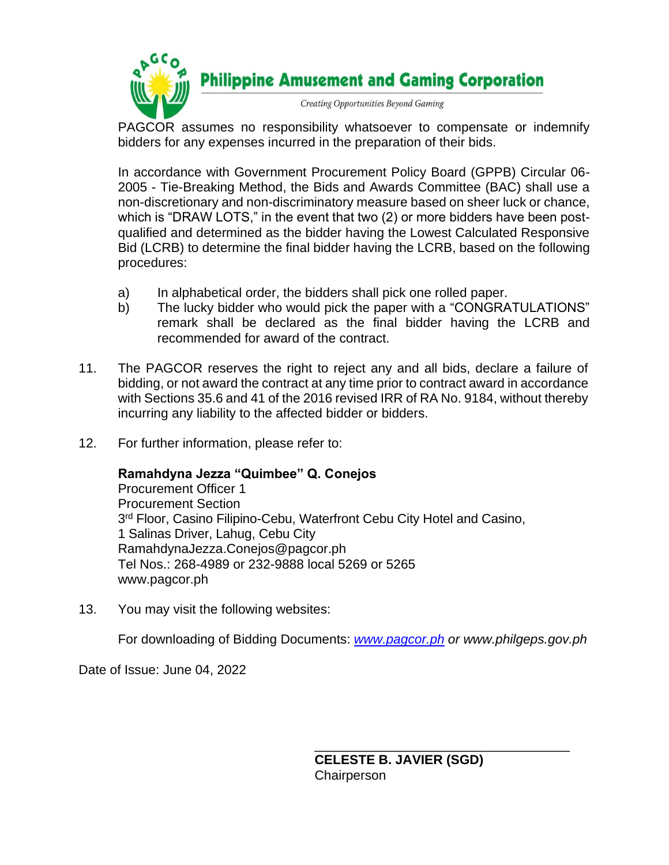

PAGCOR assumes no responsibility whatsoever to compensate or indemnify bidders for any expenses incurred in the preparation of their bids.

In accordance with Government Procurement Policy Board (GPPB) Circular 06- 2005 - Tie-Breaking Method, the Bids and Awards Committee (BAC) shall use a non-discretionary and non-discriminatory measure based on sheer luck or chance, which is "DRAW LOTS," in the event that two (2) or more bidders have been postqualified and determined as the bidder having the Lowest Calculated Responsive Bid (LCRB) to determine the final bidder having the LCRB, based on the following procedures:

- a) In alphabetical order, the bidders shall pick one rolled paper.
- b) The lucky bidder who would pick the paper with a "CONGRATULATIONS" remark shall be declared as the final bidder having the LCRB and recommended for award of the contract.
- 11. The PAGCOR reserves the right to reject any and all bids, declare a failure of bidding, or not award the contract at any time prior to contract award in accordance with Sections 35.6 and 41 of the 2016 revised IRR of RA No. 9184, without thereby incurring any liability to the affected bidder or bidders.
- 12. For further information, please refer to:

## **Ramahdyna Jezza "Quimbee" Q. Conejos**

Procurement Officer 1 Procurement Section 3<sup>rd</sup> Floor, Casino Filipino-Cebu, Waterfront Cebu City Hotel and Casino, 1 Salinas Driver, Lahug, Cebu City RamahdynaJezza.Conejos@pagcor.ph Tel Nos.: 268-4989 or 232-9888 local 5269 or 5265 www.pagcor.ph

13. You may visit the following websites:

For downloading of Bidding Documents: *[www.pagcor.ph](http://www.pagcor.ph/) or www.philgeps.gov.ph*

Date of Issue: June 04, 2022